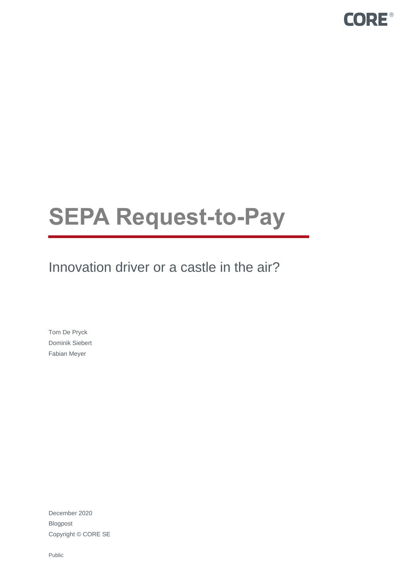

# **SEPA Request-to-Pay**

Innovation driver or a castle in the air?

Tom De Pryck Dominik Siebert Fabian Meyer

December 2020 Blogpost Copyright © CORE SE

Public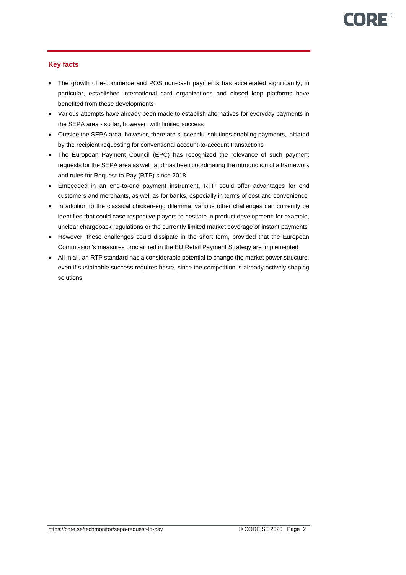# **Key facts**

- The growth of e-commerce and POS non-cash payments has accelerated significantly; in particular, established international card organizations and closed loop platforms have benefited from these developments
- Various attempts have already been made to establish alternatives for everyday payments in the SEPA area - so far, however, with limited success
- Outside the SEPA area, however, there are successful solutions enabling payments, initiated by the recipient requesting for conventional account-to-account transactions
- The European Payment Council (EPC) has recognized the relevance of such payment requests for the SEPA area as well, and has been coordinating the introduction of a framework and rules for Request-to-Pay (RTP) since 2018
- Embedded in an end-to-end payment instrument, RTP could offer advantages for end customers and merchants, as well as for banks, especially in terms of cost and convenience
- In addition to the classical chicken-egg dilemma, various other challenges can currently be identified that could case respective players to hesitate in product development; for example, unclear chargeback regulations or the currently limited market coverage of instant payments
- However, these challenges could dissipate in the short term, provided that the European Commission's measures proclaimed in the EU Retail Payment Strategy are implemented
- All in all, an RTP standard has a considerable potential to change the market power structure, even if sustainable success requires haste, since the competition is already actively shaping solutions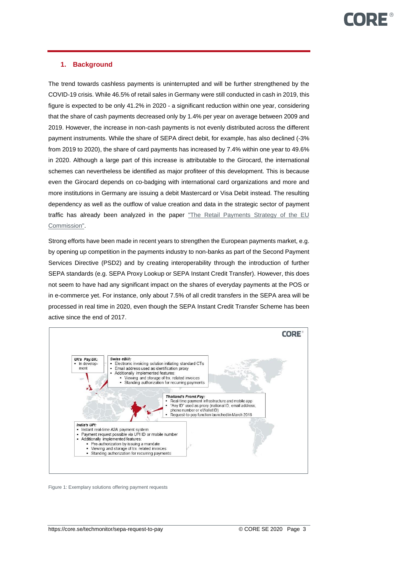# **1. Background**

The trend towards cashless payments is uninterrupted and will be further strengthened by the COVID-19 crisis. While 46.5% of retail sales in Germany were still conducted in cash in 2019, this figure is expected to be only 41.2% in 2020 - a significant reduction within one year, considering that the share of cash payments decreased only by 1.4% per year on average between 2009 and 2019. However, the increase in non-cash payments is not evenly distributed across the different payment instruments. While the share of SEPA direct debit, for example, has also declined (-3% from 2019 to 2020), the share of card payments has increased by 7.4% within one year to 49.6% in 2020. Although a large part of this increase is attributable to the Girocard, the international schemes can nevertheless be identified as major profiteer of this development. This is because even the Girocard depends on co-badging with international card organizations and more and more institutions in Germany are issuing a debit Mastercard or Visa Debit instead. The resulting dependency as well as the outflow of value creation and data in the strategic sector of payment traffic has already been analyzed in the paper ["The Retail Payments Strategy of the EU](https://core.se/techmonitor/the-retail-payments-strategy-of-the-eu-commission)  [Commission".](https://core.se/techmonitor/the-retail-payments-strategy-of-the-eu-commission)

Strong efforts have been made in recent years to strengthen the European payments market, e.g. by opening up competition in the payments industry to non-banks as part of the Second Payment Services Directive (PSD2) and by creating interoperability through the introduction of further SEPA standards (e.g. SEPA Proxy Lookup or SEPA Instant Credit Transfer). However, this does not seem to have had any significant impact on the shares of everyday payments at the POS or in e-commerce yet. For instance, only about 7.5% of all credit transfers in the SEPA area will be processed in real time in 2020, even though the SEPA Instant Credit Transfer Scheme has been active since the end of 2017.



Figure 1: Exemplary solutions offering payment requests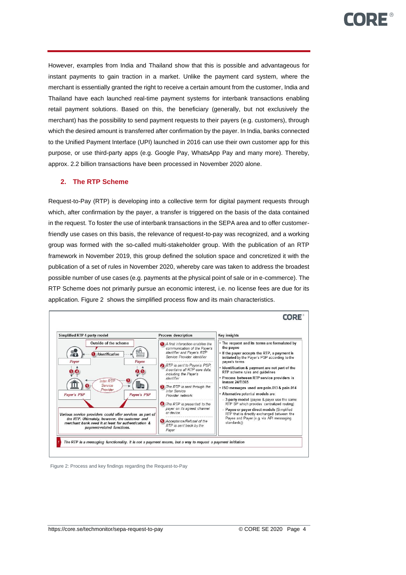However, examples from India and Thailand show that this is possible and advantageous for instant payments to gain traction in a market. Unlike the payment card system, where the merchant is essentially granted the right to receive a certain amount from the customer, India and Thailand have each launched real-time payment systems for interbank transactions enabling retail payment solutions. Based on this, the beneficiary (generally, but not exclusively the merchant) has the possibility to send payment requests to their payers (e.g. customers), through which the desired amount is transferred after confirmation by the payer. In India, banks connected to the Unified Payment Interface (UPI) launched in 2016 can use their own customer app for this purpose, or use third-party apps (e.g. Google Pay, WhatsApp Pay and many more). Thereby, approx. 2.2 billion transactions have been processed in November 2020 alone.

# **2. The RTP Scheme**

Request-to-Pay (RTP) is developing into a collective term for digital payment requests through which, after confirmation by the payer, a transfer is triggered on the basis of the data contained in the request. To foster the use of interbank transactions in the SEPA area and to offer customerfriendly use cases on this basis, the relevance of request-to-pay was recognized, and a working group was formed with the so-called multi-stakeholder group. With the publication of an RTP framework in November 2019, this group defined the solution space and concretized it with the publication of a set of rules in November 2020, whereby care was taken to address the broadest possible number of use cases (e.g. payments at the physical point of sale or in e-commerce). The RTP Scheme does not primarily pursue an economic interest, i.e. no license fees are due for its application. [Figure 2](#page-3-0) shows the simplified process flow and its main characteristics.



<span id="page-3-0"></span>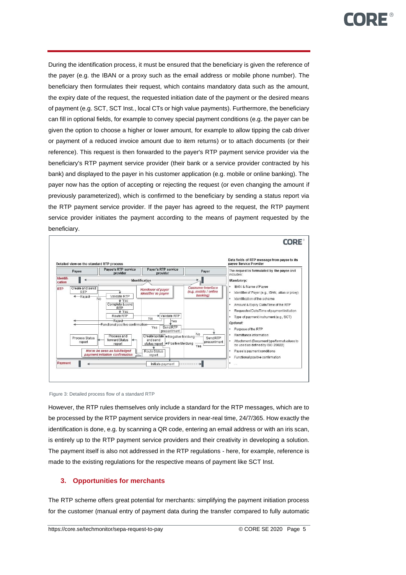During the identification process, it must be ensured that the beneficiary is given the reference of the payer (e.g. the IBAN or a proxy such as the email address or mobile phone number). The beneficiary then formulates their request, which contains mandatory data such as the amount, the expiry date of the request, the requested initiation date of the payment or the desired means of payment (e.g. SCT, SCT Inst., local CTs or high value payments). Furthermore, the beneficiary can fill in optional fields, for example to convey special payment conditions (e.g. the payer can be given the option to choose a higher or lower amount, for example to allow tipping the cab driver or payment of a reduced invoice amount due to item returns) or to attach documents (or their reference). This request is then forwarded to the payer's RTP payment service provider via the beneficiary's RTP payment service provider (their bank or a service provider contracted by his bank) and displayed to the payer in his customer application (e.g. mobile or online banking). The payer now has the option of accepting or rejecting the request (or even changing the amount if previously parameterized), which is confirmed to the beneficiary by sending a status report via the RTP payment service provider. If the payer has agreed to the request, the RTP payment service provider initiates the payment according to the means of payment requested by the beneficiary.



Figure 3: Detailed process flow of a standard RTP

However, the RTP rules themselves only include a standard for the RTP messages, which are to be processed by the RTP payment service providers in near-real time, 24/7/365. How exactly the identification is done, e.g. by scanning a QR code, entering an email address or with an iris scan, is entirely up to the RTP payment service providers and their creativity in developing a solution. The payment itself is also not addressed in the RTP regulations - here, for example, reference is made to the existing regulations for the respective means of payment like SCT Inst.

# **3. Opportunities for merchants**

The RTP scheme offers great potential for merchants: simplifying the payment initiation process for the customer (manual entry of payment data during the transfer compared to fully automatic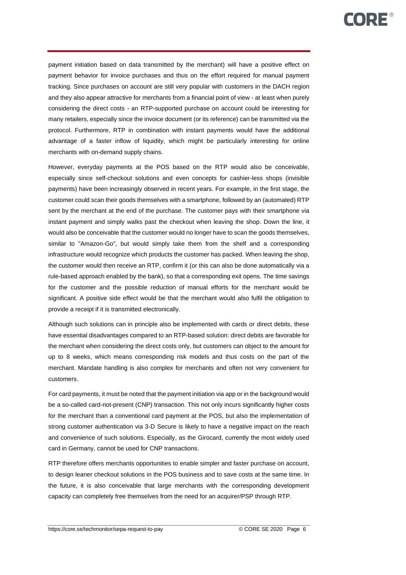payment initiation based on data transmitted by the merchant) will have a positive effect on payment behavior for invoice purchases and thus on the effort required for manual payment tracking. Since purchases on account are still very popular with customers in the DACH region and they also appear attractive for merchants from a financial point of view - at least when purely considering the direct costs - an RTP-supported purchase on account could be interesting for many retailers, especially since the invoice document (or its reference) can be transmitted via the protocol. Furthermore, RTP in combination with instant payments would have the additional advantage of a faster inflow of liquidity, which might be particularly interesting for online merchants with on-demand supply chains.

However, everyday payments at the POS based on the RTP would also be conceivable, especially since self-checkout solutions and even concepts for cashier-less shops (invisible payments) have been increasingly observed in recent years. For example, in the first stage, the customer could scan their goods themselves with a smartphone, followed by an (automated) RTP sent by the merchant at the end of the purchase. The customer pays with their smartphone via instant payment and simply walks past the checkout when leaving the shop. Down the line, it would also be conceivable that the customer would no longer have to scan the goods themselves, similar to "Amazon-Go", but would simply take them from the shelf and a corresponding infrastructure would recognize which products the customer has packed. When leaving the shop, the customer would then receive an RTP, confirm it (or this can also be done automatically via a rule-based approach enabled by the bank), so that a corresponding exit opens. The time savings for the customer and the possible reduction of manual efforts for the merchant would be significant. A positive side effect would be that the merchant would also fulfil the obligation to provide a receipt if it is transmitted electronically.

Although such solutions can in principle also be implemented with cards or direct debits, these have essential disadvantages compared to an RTP-based solution: direct debits are favorable for the merchant when considering the direct costs only, but customers can object to the amount for up to 8 weeks, which means corresponding risk models and thus costs on the part of the merchant. Mandate handling is also complex for merchants and often not very convenient for customers.

For card payments, it must be noted that the payment initiation via app or in the background would be a so-called card-not-present (CNP) transaction. This not only incurs significantly higher costs for the merchant than a conventional card payment at the POS, but also the implementation of strong customer authentication via 3-D Secure is likely to have a negative impact on the reach and convenience of such solutions. Especially, as the Girocard, currently the most widely used card in Germany, cannot be used for CNP transactions.

RTP therefore offers merchants opportunities to enable simpler and faster purchase on account, to design leaner checkout solutions in the POS business and to save costs at the same time. In the future, it is also conceivable that large merchants with the corresponding development capacity can completely free themselves from the need for an acquirer/PSP through RTP.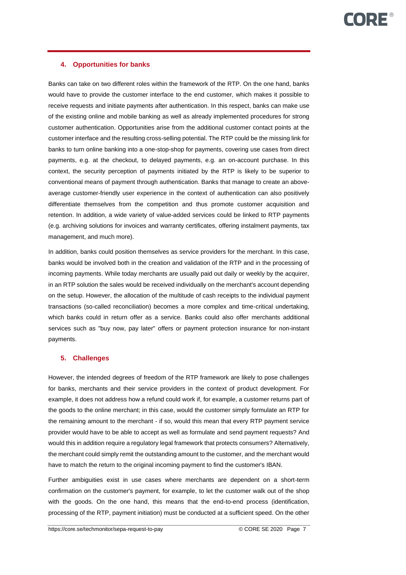# **4. Opportunities for banks**

Banks can take on two different roles within the framework of the RTP. On the one hand, banks would have to provide the customer interface to the end customer, which makes it possible to receive requests and initiate payments after authentication. In this respect, banks can make use of the existing online and mobile banking as well as already implemented procedures for strong customer authentication. Opportunities arise from the additional customer contact points at the customer interface and the resulting cross-selling potential. The RTP could be the missing link for banks to turn online banking into a one-stop-shop for payments, covering use cases from direct payments, e.g. at the checkout, to delayed payments, e.g. an on-account purchase. In this context, the security perception of payments initiated by the RTP is likely to be superior to conventional means of payment through authentication. Banks that manage to create an aboveaverage customer-friendly user experience in the context of authentication can also positively differentiate themselves from the competition and thus promote customer acquisition and retention. In addition, a wide variety of value-added services could be linked to RTP payments (e.g. archiving solutions for invoices and warranty certificates, offering instalment payments, tax management, and much more).

In addition, banks could position themselves as service providers for the merchant. In this case, banks would be involved both in the creation and validation of the RTP and in the processing of incoming payments. While today merchants are usually paid out daily or weekly by the acquirer, in an RTP solution the sales would be received individually on the merchant's account depending on the setup. However, the allocation of the multitude of cash receipts to the individual payment transactions (so-called reconciliation) becomes a more complex and time-critical undertaking, which banks could in return offer as a service. Banks could also offer merchants additional services such as "buy now, pay later" offers or payment protection insurance for non-instant payments.

#### **5. Challenges**

However, the intended degrees of freedom of the RTP framework are likely to pose challenges for banks, merchants and their service providers in the context of product development. For example, it does not address how a refund could work if, for example, a customer returns part of the goods to the online merchant; in this case, would the customer simply formulate an RTP for the remaining amount to the merchant - if so, would this mean that every RTP payment service provider would have to be able to accept as well as formulate and send payment requests? And would this in addition require a regulatory legal framework that protects consumers? Alternatively, the merchant could simply remit the outstanding amount to the customer, and the merchant would have to match the return to the original incoming payment to find the customer's IBAN.

Further ambiguities exist in use cases where merchants are dependent on a short-term confirmation on the customer's payment, for example, to let the customer walk out of the shop with the goods. On the one hand, this means that the end-to-end process (identification, processing of the RTP, payment initiation) must be conducted at a sufficient speed. On the other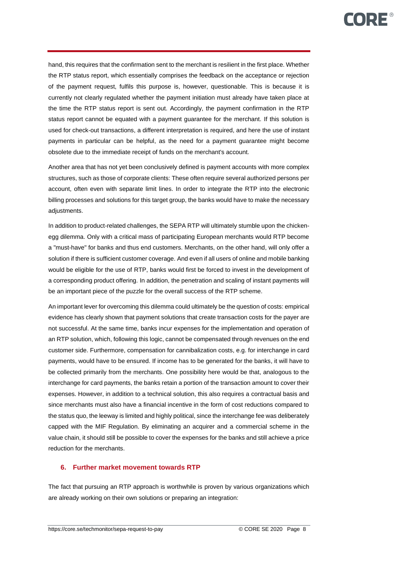hand, this requires that the confirmation sent to the merchant is resilient in the first place. Whether the RTP status report, which essentially comprises the feedback on the acceptance or rejection of the payment request, fulfils this purpose is, however, questionable. This is because it is currently not clearly regulated whether the payment initiation must already have taken place at the time the RTP status report is sent out. Accordingly, the payment confirmation in the RTP status report cannot be equated with a payment guarantee for the merchant. If this solution is used for check-out transactions, a different interpretation is required, and here the use of instant payments in particular can be helpful, as the need for a payment guarantee might become obsolete due to the immediate receipt of funds on the merchant's account.

Another area that has not yet been conclusively defined is payment accounts with more complex structures, such as those of corporate clients: These often require several authorized persons per account, often even with separate limit lines. In order to integrate the RTP into the electronic billing processes and solutions for this target group, the banks would have to make the necessary adjustments.

In addition to product-related challenges, the SEPA RTP will ultimately stumble upon the chickenegg dilemma. Only with a critical mass of participating European merchants would RTP become a "must-have" for banks and thus end customers. Merchants, on the other hand, will only offer a solution if there is sufficient customer coverage. And even if all users of online and mobile banking would be eligible for the use of RTP, banks would first be forced to invest in the development of a corresponding product offering. In addition, the penetration and scaling of instant payments will be an important piece of the puzzle for the overall success of the RTP scheme.

An important lever for overcoming this dilemma could ultimately be the question of costs: empirical evidence has clearly shown that payment solutions that create transaction costs for the payer are not successful. At the same time, banks incur expenses for the implementation and operation of an RTP solution, which, following this logic, cannot be compensated through revenues on the end customer side. Furthermore, compensation for cannibalization costs, e.g. for interchange in card payments, would have to be ensured. If income has to be generated for the banks, it will have to be collected primarily from the merchants. One possibility here would be that, analogous to the interchange for card payments, the banks retain a portion of the transaction amount to cover their expenses. However, in addition to a technical solution, this also requires a contractual basis and since merchants must also have a financial incentive in the form of cost reductions compared to the status quo, the leeway is limited and highly political, since the interchange fee was deliberately capped with the MIF Regulation. By eliminating an acquirer and a commercial scheme in the value chain, it should still be possible to cover the expenses for the banks and still achieve a price reduction for the merchants.

#### **6. Further market movement towards RTP**

The fact that pursuing an RTP approach is worthwhile is proven by various organizations which are already working on their own solutions or preparing an integration: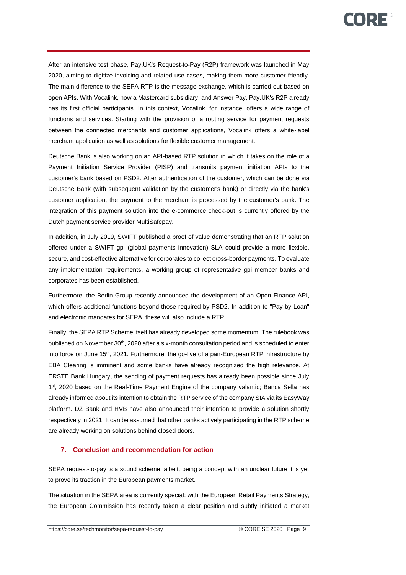After an intensive test phase, Pay.UK's Request-to-Pay (R2P) framework was launched in May 2020, aiming to digitize invoicing and related use-cases, making them more customer-friendly. The main difference to the SEPA RTP is the message exchange, which is carried out based on open APIs. With Vocalink, now a Mastercard subsidiary, and Answer Pay, Pay.UK's R2P already has its first official participants. In this context, Vocalink, for instance, offers a wide range of functions and services. Starting with the provision of a routing service for payment requests between the connected merchants and customer applications, Vocalink offers a white-label merchant application as well as solutions for flexible customer management.

Deutsche Bank is also working on an API-based RTP solution in which it takes on the role of a Payment Initiation Service Provider (PISP) and transmits payment initiation APIs to the customer's bank based on PSD2. After authentication of the customer, which can be done via Deutsche Bank (with subsequent validation by the customer's bank) or directly via the bank's customer application, the payment to the merchant is processed by the customer's bank. The integration of this payment solution into the e-commerce check-out is currently offered by the Dutch payment service provider MultiSafepay.

In addition, in July 2019, SWIFT published a proof of value demonstrating that an RTP solution offered under a SWIFT gpi (global payments innovation) SLA could provide a more flexible, secure, and cost-effective alternative for corporates to collect cross-border payments. To evaluate any implementation requirements, a working group of representative gpi member banks and corporates has been established.

Furthermore, the Berlin Group recently announced the development of an Open Finance API, which offers additional functions beyond those required by PSD2. In addition to "Pay by Loan" and electronic mandates for SEPA, these will also include a RTP.

Finally, the SEPA RTP Scheme itself has already developed some momentum. The rulebook was published on November  $30<sup>th</sup>$ , 2020 after a six-month consultation period and is scheduled to enter into force on June 15<sup>th</sup>, 2021. Furthermore, the go-live of a pan-European RTP infrastructure by EBA Clearing is imminent and some banks have already recognized the high relevance. At ERSTE Bank Hungary, the sending of payment requests has already been possible since July 1<sup>st</sup>, 2020 based on the Real-Time Payment Engine of the company valantic; Banca Sella has already informed about its intention to obtain the RTP service of the company SIA via its EasyWay platform. DZ Bank and HVB have also announced their intention to provide a solution shortly respectively in 2021. It can be assumed that other banks actively participating in the RTP scheme are already working on solutions behind closed doors.

#### **7. Conclusion and recommendation for action**

SEPA request-to-pay is a sound scheme, albeit, being a concept with an unclear future it is yet to prove its traction in the European payments market.

The situation in the SEPA area is currently special: with the European Retail Payments Strategy, the European Commission has recently taken a clear position and subtly initiated a market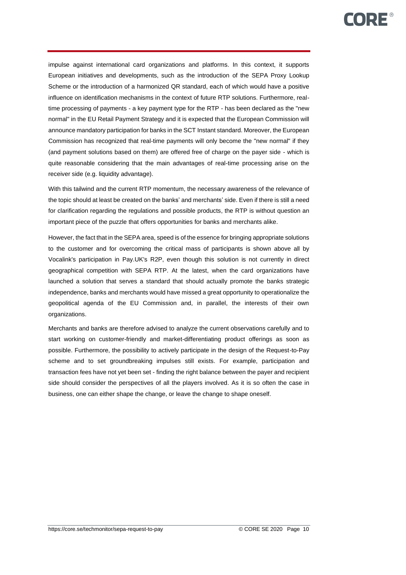impulse against international card organizations and platforms. In this context, it supports European initiatives and developments, such as the introduction of the SEPA Proxy Lookup Scheme or the introduction of a harmonized QR standard, each of which would have a positive influence on identification mechanisms in the context of future RTP solutions. Furthermore, realtime processing of payments - a key payment type for the RTP - has been declared as the "new normal" in the EU Retail Payment Strategy and it is expected that the European Commission will announce mandatory participation for banks in the SCT Instant standard. Moreover, the European Commission has recognized that real-time payments will only become the "new normal" if they (and payment solutions based on them) are offered free of charge on the payer side - which is quite reasonable considering that the main advantages of real-time processing arise on the receiver side (e.g. liquidity advantage).

With this tailwind and the current RTP momentum, the necessary awareness of the relevance of the topic should at least be created on the banks' and merchants' side. Even if there is still a need for clarification regarding the regulations and possible products, the RTP is without question an important piece of the puzzle that offers opportunities for banks and merchants alike.

However, the fact that in the SEPA area, speed is of the essence for bringing appropriate solutions to the customer and for overcoming the critical mass of participants is shown above all by Vocalink's participation in Pay.UK's R2P, even though this solution is not currently in direct geographical competition with SEPA RTP. At the latest, when the card organizations have launched a solution that serves a standard that should actually promote the banks strategic independence, banks and merchants would have missed a great opportunity to operationalize the geopolitical agenda of the EU Commission and, in parallel, the interests of their own organizations.

Merchants and banks are therefore advised to analyze the current observations carefully and to start working on customer-friendly and market-differentiating product offerings as soon as possible. Furthermore, the possibility to actively participate in the design of the Request-to-Pay scheme and to set groundbreaking impulses still exists. For example, participation and transaction fees have not yet been set - finding the right balance between the payer and recipient side should consider the perspectives of all the players involved. As it is so often the case in business, one can either shape the change, or leave the change to shape oneself.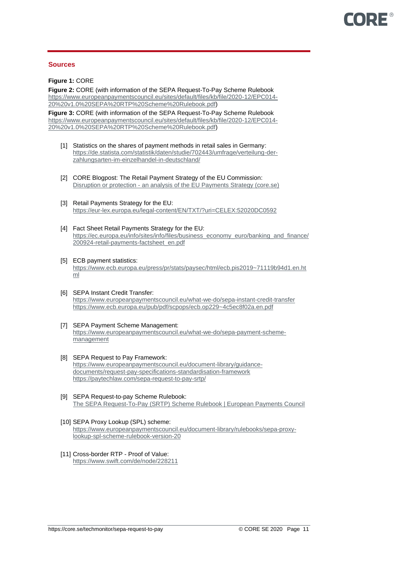#### **Sources**

**Figure 1:** CORE

**Figure 2:** CORE (with information of the SEPA Request-To-Pay Scheme Rulebook [https://www.europeanpaymentscouncil.eu/sites/default/files/kb/file/2020-12/EPC014-](https://www.europeanpaymentscouncil.eu/sites/default/files/kb/file/2020-12/EPC014-20%20v1.0%20SEPA%20RTP%20Scheme%20Rulebook.pdf) [20%20v1.0%20SEPA%20RTP%20Scheme%20Rulebook.pdf\)](https://www.europeanpaymentscouncil.eu/sites/default/files/kb/file/2020-12/EPC014-20%20v1.0%20SEPA%20RTP%20Scheme%20Rulebook.pdf)

**Figure 3:** CORE (with information of the SEPA Request-To-Pay Scheme Rulebook [https://www.europeanpaymentscouncil.eu/sites/default/files/kb/file/2020-12/EPC014-](https://www.europeanpaymentscouncil.eu/sites/default/files/kb/file/2020-12/EPC014-20%20v1.0%20SEPA%20RTP%20Scheme%20Rulebook.pdf) [20%20v1.0%20SEPA%20RTP%20Scheme%20Rulebook.pdf\)](https://www.europeanpaymentscouncil.eu/sites/default/files/kb/file/2020-12/EPC014-20%20v1.0%20SEPA%20RTP%20Scheme%20Rulebook.pdf)

- [1] Statistics on the shares of payment methods in retail sales in Germany: [https://de.statista.com/statistik/daten/studie/702443/umfrage/verteilung-der](https://de.statista.com/statistik/daten/studie/702443/umfrage/verteilung-der-zahlungsarten-im-einzelhandel-in-deutschland/)[zahlungsarten-im-einzelhandel-in-deutschland/](https://de.statista.com/statistik/daten/studie/702443/umfrage/verteilung-der-zahlungsarten-im-einzelhandel-in-deutschland/)
- [2] CORE Blogpost: The Retail Payment Strategy of the EU Commission: Disruption or protection - [an analysis of the EU Payments Strategy \(core.se\)](https://core.se/techmonitor/the-retail-payments-strategy-of-the-eu-commission)
- [3] Retail Payments Strategy for the EU: <https://eur-lex.europa.eu/legal-content/EN/TXT/?uri=CELEX:52020DC0592>
- [4] Fact Sheet Retail Payments Strategy for the EU: [https://ec.europa.eu/info/sites/info/files/business\\_economy\\_euro/banking\\_and\\_finance/](https://ec.europa.eu/info/sites/info/files/business_economy_euro/banking_and_finance/200924-retail-payments-factsheet_en.pdf) [200924-retail-payments-factsheet\\_en.pdf](https://ec.europa.eu/info/sites/info/files/business_economy_euro/banking_and_finance/200924-retail-payments-factsheet_en.pdf)
- [5] ECB payment statistics: [https://www.ecb.europa.eu/press/pr/stats/paysec/html/ecb.pis2019~71119b94d1.en.ht](https://www.ecb.europa.eu/press/pr/stats/paysec/html/ecb.pis2019~71119b94d1.en.html) [ml](https://www.ecb.europa.eu/press/pr/stats/paysec/html/ecb.pis2019~71119b94d1.en.html)
- [6] SEPA Instant Credit Transfer: <https://www.europeanpaymentscouncil.eu/what-we-do/sepa-instant-credit-transfer> <https://www.ecb.europa.eu/pub/pdf/scpops/ecb.op229~4c5ec8f02a.en.pdf>
- [7] SEPA Payment Scheme Management: [https://www.europeanpaymentscouncil.eu/what-we-do/sepa-payment-scheme](https://www.europeanpaymentscouncil.eu/what-we-do/sepa-payment-scheme-management)[management](https://www.europeanpaymentscouncil.eu/what-we-do/sepa-payment-scheme-management)
- [8] SEPA Request to Pay Framework: [https://www.europeanpaymentscouncil.eu/document-library/guidance](https://www.europeanpaymentscouncil.eu/document-library/guidance-documents/request-pay-specifications-standardisation-framework)[documents/request-pay-specifications-standardisation-framework](https://www.europeanpaymentscouncil.eu/document-library/guidance-documents/request-pay-specifications-standardisation-framework) <https://paytechlaw.com/sepa-request-to-pay-srtp/>
- [9] SEPA Request-to-pay Scheme Rulebook: [The SEPA Request-To-Pay \(SRTP\) Scheme Rulebook | European Payments Council](https://www.europeanpaymentscouncil.eu/document-library/rulebooks/sepa-request-pay-srtp-scheme-rulebook)
- [10] SEPA Proxy Lookup (SPL) scheme: [https://www.europeanpaymentscouncil.eu/document-library/rulebooks/sepa-proxy](https://www.europeanpaymentscouncil.eu/document-library/rulebooks/sepa-proxy-lookup-spl-scheme-rulebook-version-20)[lookup-spl-scheme-rulebook-version-20](https://www.europeanpaymentscouncil.eu/document-library/rulebooks/sepa-proxy-lookup-spl-scheme-rulebook-version-20)
- [11] Cross-border RTP Proof of Value: <https://www.swift.com/de/node/228211>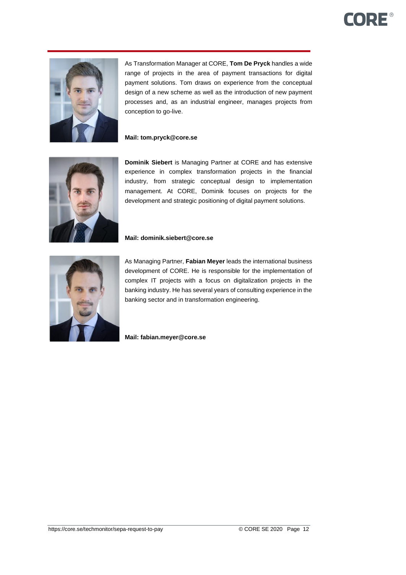# **CORE®**



As Transformation Manager at CORE, **Tom De Pryck** handles a wide range of projects in the area of payment transactions for digital payment solutions. Tom draws on experience from the conceptual design of a new scheme as well as the introduction of new payment processes and, as an industrial engineer, manages projects from conception to go-live.

# **Mail: tom.pryck@core.se**



**Dominik Siebert** is Managing Partner at CORE and has extensive experience in complex transformation projects in the financial industry, from strategic conceptual design to implementation management. At CORE, Dominik focuses on projects for the development and strategic positioning of digital payment solutions.

#### **Mail: dominik.siebert@core.se**



As Managing Partner, **Fabian Meyer** leads the international business development of CORE. He is responsible for the implementation of complex IT projects with a focus on digitalization projects in the banking industry. He has several years of consulting experience in the banking sector and in transformation engineering.

**Mail: fabian.meyer@core.se**